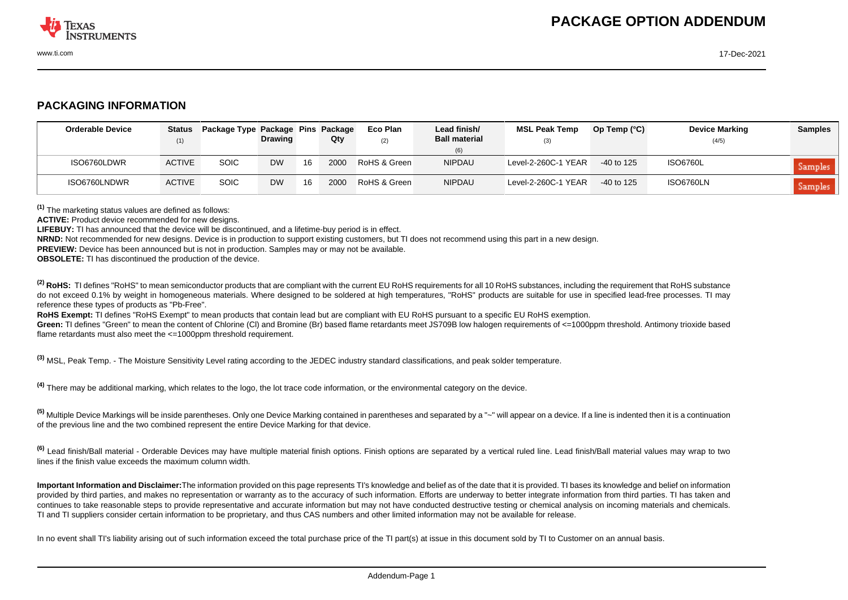

## **PACKAGING INFORMATION**

| <b>Orderable Device</b> | Status<br>(1) | Package Type Package Pins Package | <b>Drawing</b> |    | Qty  | Eco Plan<br>(2) | Lead finish/<br><b>Ball material</b> | <b>MSL Peak Temp</b><br>(3) | Op Temp $(^{\circ}C)$ | <b>Device Marking</b><br>(4/5) | <b>Samples</b> |
|-------------------------|---------------|-----------------------------------|----------------|----|------|-----------------|--------------------------------------|-----------------------------|-----------------------|--------------------------------|----------------|
|                         |               |                                   |                |    |      |                 | (6)                                  |                             |                       |                                |                |
| ISO6760LDWR             | <b>ACTIVE</b> | <b>SOIC</b>                       | <b>DW</b>      | 16 | 2000 | RoHS & Green    | <b>NIPDAU</b>                        | Level-2-260C-1 YEAR         | $-40$ to 125          | <b>ISO6760L</b>                | Samples        |
| ISO6760LNDWR            | <b>ACTIVE</b> | <b>SOIC</b>                       | <b>DW</b>      | 16 | 2000 | RoHS & Green    | <b>NIPDAU</b>                        | Level-2-260C-1 YEAR         | $-40$ to 125          | <b>ISO6760LN</b>               | Samples        |

**(1)** The marketing status values are defined as follows:

**ACTIVE:** Product device recommended for new designs.

**LIFEBUY:** TI has announced that the device will be discontinued, and a lifetime-buy period is in effect.

**NRND:** Not recommended for new designs. Device is in production to support existing customers, but TI does not recommend using this part in a new design.

**PREVIEW:** Device has been announced but is not in production. Samples may or may not be available.

**OBSOLETE:** TI has discontinued the production of the device.

<sup>(2)</sup> RoHS: TI defines "RoHS" to mean semiconductor products that are compliant with the current EU RoHS requirements for all 10 RoHS substances, including the requirement that RoHS substance do not exceed 0.1% by weight in homogeneous materials. Where designed to be soldered at high temperatures. "RoHS" products are suitable for use in specified lead-free processes. TI may reference these types of products as "Pb-Free".

**RoHS Exempt:** TI defines "RoHS Exempt" to mean products that contain lead but are compliant with EU RoHS pursuant to a specific EU RoHS exemption.

Green: TI defines "Green" to mean the content of Chlorine (CI) and Bromine (Br) based flame retardants meet JS709B low halogen requirements of <=1000ppm threshold. Antimony trioxide based flame retardants must also meet the <=1000ppm threshold requirement.

**(3)** MSL, Peak Temp. - The Moisture Sensitivity Level rating according to the JEDEC industry standard classifications, and peak solder temperature.

**(4)** There may be additional marking, which relates to the logo, the lot trace code information, or the environmental category on the device.

**(5)** Multiple Device Markings will be inside parentheses. Only one Device Marking contained in parentheses and separated by a "~" will appear on a device. If a line is indented then it is a continuation of the previous line and the two combined represent the entire Device Marking for that device.

**(6)** Lead finish/Ball material - Orderable Devices may have multiple material finish options. Finish options are separated by a vertical ruled line. Lead finish/Ball material values may wrap to two lines if the finish value exceeds the maximum column width.

**Important Information and Disclaimer:**The information provided on this page represents TI's knowledge and belief as of the date that it is provided. TI bases its knowledge and belief on information provided by third parties, and makes no representation or warranty as to the accuracy of such information. Efforts are underway to better integrate information from third parties. TI has taken and continues to take reasonable steps to provide representative and accurate information but may not have conducted destructive testing or chemical analysis on incoming materials and chemicals. TI and TI suppliers consider certain information to be proprietary, and thus CAS numbers and other limited information may not be available for release.

In no event shall TI's liability arising out of such information exceed the total purchase price of the TI part(s) at issue in this document sold by TI to Customer on an annual basis.